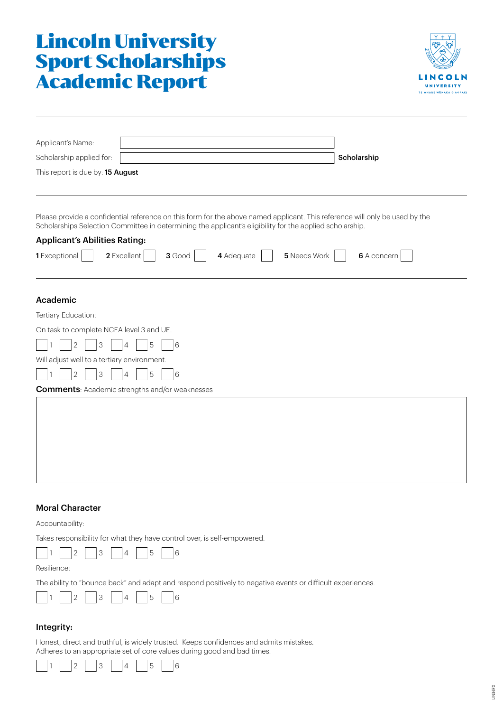# Lincoln University Sport Scholarships Academic Report



| Applicant's Name:                                                                                                                                                                                                                       |             |  |
|-----------------------------------------------------------------------------------------------------------------------------------------------------------------------------------------------------------------------------------------|-------------|--|
| Scholarship applied for:                                                                                                                                                                                                                | Scholarship |  |
| This report is due by: 15 August                                                                                                                                                                                                        |             |  |
|                                                                                                                                                                                                                                         |             |  |
| Please provide a confidential reference on this form for the above named applicant. This reference will only be used by the<br>Scholarships Selection Committee in determining the applicant's eligibility for the applied scholarship. |             |  |
| <b>Applicant's Abilities Rating:</b>                                                                                                                                                                                                    |             |  |
| 1 Exceptional<br>2 Excellent<br>5 Needs Work<br>3 Good<br>4 Adequate<br>6 A concern                                                                                                                                                     |             |  |
| Academic                                                                                                                                                                                                                                |             |  |
| Tertiary Education:                                                                                                                                                                                                                     |             |  |
| On task to complete NCEA level 3 and UE.                                                                                                                                                                                                |             |  |
| 5<br>16<br>3<br>2<br>4                                                                                                                                                                                                                  |             |  |
| Will adjust well to a tertiary environment.                                                                                                                                                                                             |             |  |
| 5<br> 6<br>З                                                                                                                                                                                                                            |             |  |
| <b>Comments: Academic strengths and/or weaknesses</b>                                                                                                                                                                                   |             |  |
|                                                                                                                                                                                                                                         |             |  |
|                                                                                                                                                                                                                                         |             |  |
|                                                                                                                                                                                                                                         |             |  |
|                                                                                                                                                                                                                                         |             |  |

# Moral Character

Accountability:

Takes responsibility for what they have control over, is self-empowered.



Resilience:

The ability to "bounce back" and adapt and respond positively to negative events or difficult experiences.



# Integrity:

Honest, direct and truthful, is widely trusted. Keeps confidences and admits mistakes. Adheres to an appropriate set of core values during good and bad times.

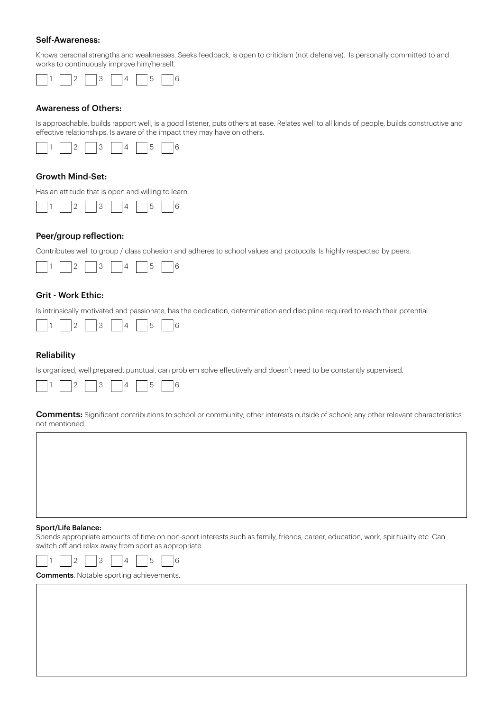#### Self-Awareness:

Knows personal strengths and weaknesses. Seeks feedback, is open to criticism (not defensive). Is personally committed to and works to continuously improve him/herself.



#### Awareness of Others:

Is approachable, builds rapport well, is a good listener, puts others at ease. Relates well to all kinds of people, builds constructive and effective relationships. Is aware of the impact they may have on others.



### Growth Mind-Set:

Has an attitude that is open and willing to learn.



### Peer/group reflection:

Contributes well to group / class cohesion and adheres to school values and protocols. Is highly respected by peers.



# Grit - Work Ethic:

Is intrinsically motivated and passionate, has the dedication, determination and discipline required to reach their potential.



#### Reliability

Is organised, well prepared, punctual, can problem solve effectively and doesn't need to be constantly supervised.



**Comments:** Significant contributions to school or community; other interests outside of school; any other relevant characteristics not mentioned.

#### Sport/Life Balance:

Spends appropriate amounts of time on non-sport interests such as family, friends, career, education, work, spirituality etc. Can switch off and relax away from sport as appropriate.



Comments: Notable sporting achievements.